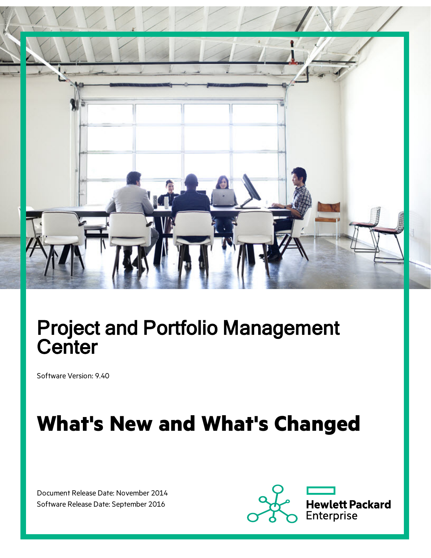

# Project and Portfolio Management **Center**

Software Version: 9.40

# **What's New and What's Changed**

Document Release Date: November 2014 Software Release Date: September 2016

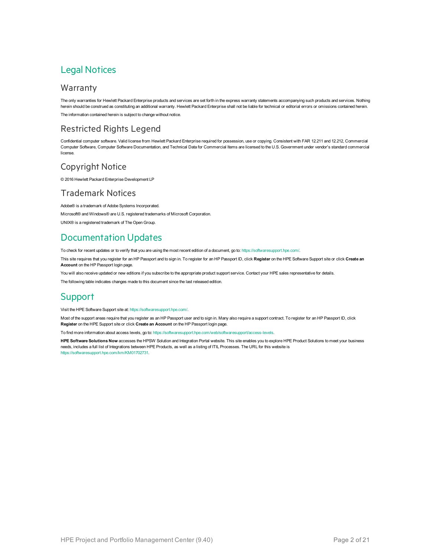#### Legal Notices

#### Warranty

The only warranties for Hewlett Packard Enterprise products and services are set forth in the express warranty statements accompanying such products and services. Nothing herein should be construed as constituting an additional warranty. Hewlett Packard Enterprise shall not be liable for technical or editorial errors or omissions contained herein. The information contained herein is subject to change without notice.

#### Restricted Rights Legend

Confidential computer software. Valid license from Hewlett Packard Enterprise required for possession, use or copying. Consistent with FAR 12.211 and 12.212, Commercial Computer Software, Computer Software Documentation, and Technical Data for Commercial Items are licensed to the U.S. Government under vendor's standard commercial license.

#### Copyright Notice

© 2016 Hewlett Packard Enterprise Development LP

#### Trademark Notices

Adobe® is a trademark of Adobe Systems Incorporated.

Microsoft® and Windows® are U.S. registered trademarks of Microsoft Corporation.

UNIX® is a registered trademark of The Open Group.

### Documentation Updates

To check for recent updates or to verify that you are using the most recent edition of a document, go to: <https://softwaresupport.hpe.com/>.

This site requires that you register for an HP Passport and to sign in. To register for an HP Passport ID, click **Register** on the HPE Software Support site or click **Create an Account** on the HP Passport login page.

You will also receive updated or new editions if you subscribe to the appropriate product support service. Contact your HPE sales representative for details.

The following table indicates changes made to this document since the last released edition.

#### **Support**

Visit the HPE Software Support site at: <https://softwaresupport.hpe.com/>.

Most of the support areas require that you register as an HP Passport user and to sign in. Many also require a support contract. To register for an HP Passport ID, click **Register** on the HPE Support site or click **Create an Account** on the HP Passport login page.

To find more information about access levels, go to: <https://softwaresupport.hpe.com/web/softwaresupport/access-levels>.

**HPE Software Solutions Now** accesses the HPSW Solution and Integration Portal website. This site enables you to explore HPE Product Solutions to meet your business needs, includes a full list of Integrations between HPE Products, as well as a listing of ITIL Processes. The URL for this website is [https://softwaresupport.hpe.com/km/KM01702731.](https://softwaresupport.hpe.com/km/KM01702731)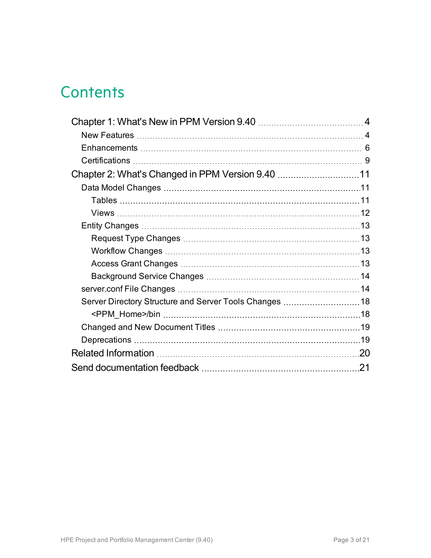# **Contents**

| .20 |
|-----|
| 21  |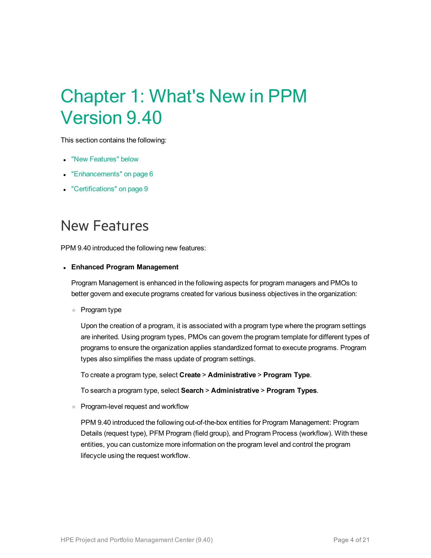# <span id="page-3-0"></span>Chapter 1: What's New in PPM Version 9.40

This section contains the following:

- "New [Features"](#page-3-1) below
- ["Enhancements"](#page-5-0) on page 6
- ["Certifications"](#page-8-0) on page 9

## <span id="page-3-1"></span>New Features

PPM 9.40 introduced the following new features:

#### <sup>l</sup> **Enhanced Program Management**

Program Management is enhanced in the following aspects for program managers and PMOs to better govern and execute programs created for various business objectives in the organization:

<sup>o</sup> Program type

Upon the creation of a program, it is associated with a program type where the program settings are inherited. Using program types, PMOs can govern the program template for different types of programs to ensure the organization applies standardized format to execute programs. Program types also simplifies the mass update of program settings.

To create a program type, select **Create** > **Administrative** > **Program Type**.

To search a program type, select **Search** > **Administrative** > **Program Types**.

<sup>o</sup> Program-level request and workflow

PPM 9.40 introduced the following out-of-the-box entities for Program Management: Program Details (request type), PFM Program (field group), and Program Process (workflow). With these entities, you can customize more information on the program level and control the program lifecycle using the request workflow.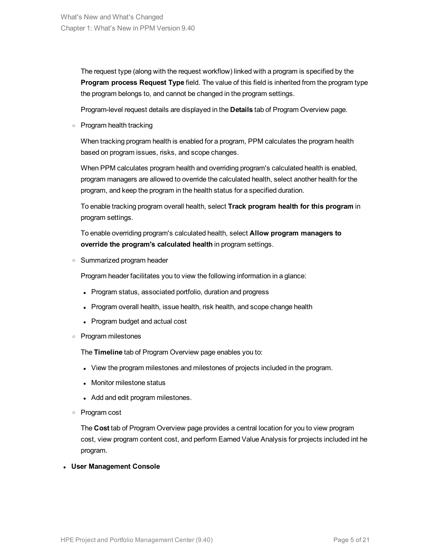The request type (along with the request workflow) linked with a program is specified by the **Program process Request Type** field. The value of this field is inherited from the program type the program belongs to, and cannot be changed in the program settings.

Program-level request details are displayed in the **Details** tab of Program Overview page.

<sup>o</sup> Program health tracking

When tracking program health is enabled for a program, PPM calculates the program health based on program issues, risks, and scope changes.

When PPM calculates program health and overriding program's calculated health is enabled, program managers are allowed to override the calculated health, select another health for the program, and keep the program in the health status for a specified duration.

To enable tracking program overall health, select **Track program health for this program** in program settings.

To enable overriding program's calculated health, select **Allow program managers to override the program's calculated health** in program settings.

<sup>o</sup> Summarized program header

Program header facilitates you to view the following information in a glance:

- Program status, associated portfolio, duration and progress
- Program overall health, issue health, risk health, and scope change health
- Program budget and actual cost
- <sup>o</sup> Program milestones

The **Timeline** tab of Program Overview page enables you to:

- View the program milestones and milestones of projects included in the program.
- Monitor milestone status
- Add and edit program milestones.
- <sup>o</sup> Program cost

The **Cost** tab of Program Overview page provides a central location for you to view program cost, view program content cost, and perform Earned Value Analysis for projects included int he program.

<sup>l</sup> **User Management Console**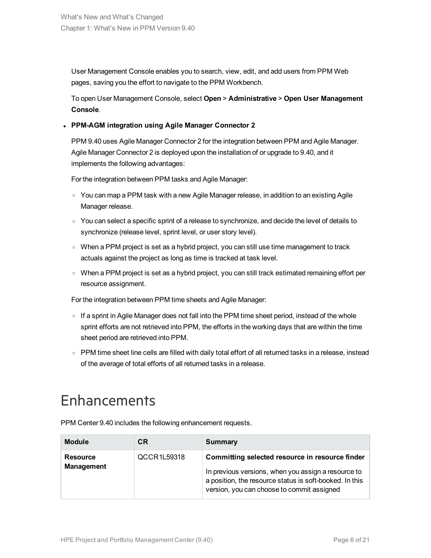User Management Console enables you to search, view, edit, and add users from PPM Web pages, saving you the effort to navigate to the PPM Workbench.

To open User Management Console, select **Open** > **Administrative** > **Open User Management Console**.

#### <sup>l</sup> **PPM-AGM integration using Agile Manager Connector 2**

PPM 9.40 uses Agile Manager Connector 2 for the integration between PPM and Agile Manager. Agile Manager Connector 2 is deployed upon the installation of or upgrade to 9.40, and it implements the following advantages:

For the integration between PPM tasks and Agile Manager:

- $\circ$  You can map a PPM task with a new Agile Manager release, in addition to an existing Agile Manager release.
- $\circ$  You can select a specific sprint of a release to synchronize, and decide the level of details to synchronize (release level, sprint level, or user story level).
- $\circ$  When a PPM project is set as a hybrid project, you can still use time management to track actuals against the project as long as time is tracked at task level.
- $\circ$  When a PPM project is set as a hybrid project, you can still track estimated remaining effort per resource assignment.

For the integration between PPM time sheets and Agile Manager:

- $\circ$  If a sprint in Agile Manager does not fall into the PPM time sheet period, instead of the whole sprint efforts are not retrieved into PPM, the efforts in the working days that are within the time sheet period are retrieved into PPM.
- PPM time sheet line cells are filled with daily total effort of all returned tasks in a release, instead of the average of total efforts of all returned tasks in a release.

## <span id="page-5-0"></span>**Enhancements**

PPM Center 9.40 includes the following enhancement requests.

| <b>Module</b>                        | CR          | <b>Summary</b>                                                                                                                                                                                                  |
|--------------------------------------|-------------|-----------------------------------------------------------------------------------------------------------------------------------------------------------------------------------------------------------------|
| <b>Resource</b><br><b>Management</b> | QCCR1L59318 | Committing selected resource in resource finder<br>In previous versions, when you assign a resource to<br>a position, the resource status is soft-booked. In this<br>version, you can choose to commit assigned |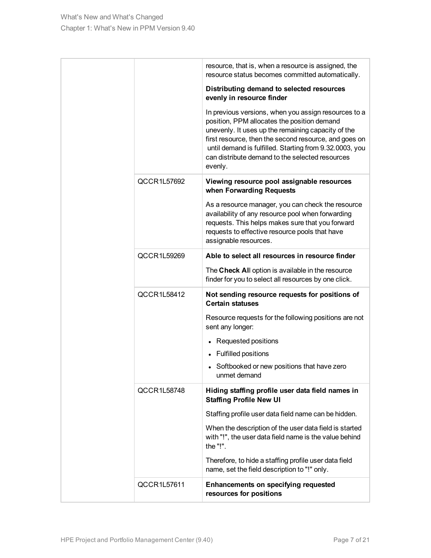|             | resource, that is, when a resource is assigned, the<br>resource status becomes committed automatically.                                                                                                                                                                                                                                     |
|-------------|---------------------------------------------------------------------------------------------------------------------------------------------------------------------------------------------------------------------------------------------------------------------------------------------------------------------------------------------|
|             | Distributing demand to selected resources<br>evenly in resource finder                                                                                                                                                                                                                                                                      |
|             | In previous versions, when you assign resources to a<br>position, PPM allocates the position demand<br>unevenly. It uses up the remaining capacity of the<br>first resource, then the second resource, and goes on<br>until demand is fulfilled. Starting from 9.32.0003, you<br>can distribute demand to the selected resources<br>evenly. |
| QCCR1L57692 | Viewing resource pool assignable resources<br>when Forwarding Requests                                                                                                                                                                                                                                                                      |
|             | As a resource manager, you can check the resource<br>availability of any resource pool when forwarding<br>requests. This helps makes sure that you forward<br>requests to effective resource pools that have<br>assignable resources.                                                                                                       |
| QCCR1L59269 | Able to select all resources in resource finder                                                                                                                                                                                                                                                                                             |
|             | The Check All option is available in the resource<br>finder for you to select all resources by one click.                                                                                                                                                                                                                                   |
| QCCR1L58412 | Not sending resource requests for positions of<br><b>Certain statuses</b>                                                                                                                                                                                                                                                                   |
|             | Resource requests for the following positions are not<br>sent any longer:                                                                                                                                                                                                                                                                   |
|             | Requested positions                                                                                                                                                                                                                                                                                                                         |
|             | <b>Fulfilled positions</b>                                                                                                                                                                                                                                                                                                                  |
|             | Softbooked or new positions that have zero<br>unmet demand                                                                                                                                                                                                                                                                                  |
| QCCR1L58748 | Hiding staffing profile user data field names in<br><b>Staffing Profile New UI</b>                                                                                                                                                                                                                                                          |
|             | Staffing profile user data field name can be hidden.                                                                                                                                                                                                                                                                                        |
|             | When the description of the user data field is started<br>with "!", the user data field name is the value behind<br>the "!".                                                                                                                                                                                                                |
|             | Therefore, to hide a staffing profile user data field<br>name, set the field description to "!" only.                                                                                                                                                                                                                                       |
| QCCR1L57611 | Enhancements on specifying requested<br>resources for positions                                                                                                                                                                                                                                                                             |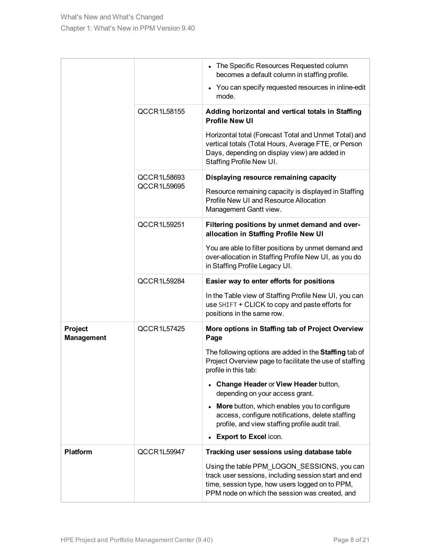|                              |             | • The Specific Resources Requested column<br>becomes a default column in staffing profile.                                                                                                               |
|------------------------------|-------------|----------------------------------------------------------------------------------------------------------------------------------------------------------------------------------------------------------|
|                              |             | • You can specify requested resources in inline-edit<br>mode.                                                                                                                                            |
|                              | QCCR1L58155 | Adding horizontal and vertical totals in Staffing<br><b>Profile New UI</b>                                                                                                                               |
|                              |             | Horizontal total (Forecast Total and Unmet Total) and<br>vertical totals (Total Hours, Average FTE, or Person<br>Days, depending on display view) are added in<br>Staffing Profile New UI.               |
|                              | QCCR1L58693 | Displaying resource remaining capacity                                                                                                                                                                   |
|                              | QCCR1L59695 | Resource remaining capacity is displayed in Staffing<br>Profile New UI and Resource Allocation<br>Management Gantt view.                                                                                 |
|                              | QCCR1L59251 | Filtering positions by unmet demand and over-<br>allocation in Staffing Profile New UI                                                                                                                   |
|                              |             | You are able to filter positions by unmet demand and<br>over-allocation in Staffing Profile New UI, as you do<br>in Staffing Profile Legacy UI.                                                          |
|                              | QCCR1L59284 | Easier way to enter efforts for positions                                                                                                                                                                |
|                              |             | In the Table view of Staffing Profile New UI, you can<br>use SHIFT + CLICK to copy and paste efforts for<br>positions in the same row.                                                                   |
| Project<br><b>Management</b> | QCCR1L57425 | More options in Staffing tab of Project Overview<br>Page                                                                                                                                                 |
|                              |             | The following options are added in the Staffing tab of<br>Project Overview page to facilitate the use of staffing<br>profile in this tab:                                                                |
|                              |             | • Change Header or View Header button,<br>depending on your access grant.                                                                                                                                |
|                              |             | More button, which enables you to configure<br>access, configure notifications, delete staffing<br>profile, and view staffing profile audit trail.                                                       |
|                              |             | <b>Export to Excel icon.</b>                                                                                                                                                                             |
| <b>Platform</b>              | QCCR1L59947 | Tracking user sessions using database table                                                                                                                                                              |
|                              |             | Using the table PPM_LOGON_SESSIONS, you can<br>track user sessions, including session start and end<br>time, session type, how users logged on to PPM,<br>PPM node on which the session was created, and |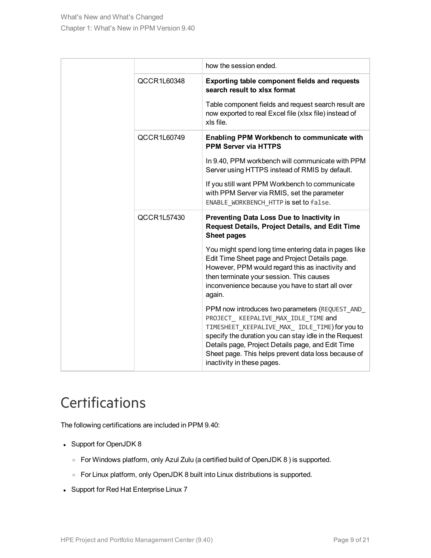|             | how the session ended.                                                                                                                                                                                                                                                                                                                     |
|-------------|--------------------------------------------------------------------------------------------------------------------------------------------------------------------------------------------------------------------------------------------------------------------------------------------------------------------------------------------|
| QCCR1L60348 | <b>Exporting table component fields and requests</b><br>search result to xlsx format                                                                                                                                                                                                                                                       |
|             | Table component fields and request search result are<br>now exported to real Excel file (xlsx file) instead of<br>xls file.                                                                                                                                                                                                                |
| QCCR1L60749 | Enabling PPM Workbench to communicate with<br><b>PPM Server via HTTPS</b>                                                                                                                                                                                                                                                                  |
|             | In 9.40, PPM workbench will communicate with PPM<br>Server using HTTPS instead of RMIS by default.                                                                                                                                                                                                                                         |
|             | If you still want PPM Workbench to communicate<br>with PPM Server via RMIS, set the parameter<br>ENABLE WORKBENCH HTTP is set to false.                                                                                                                                                                                                    |
| QCCR1L57430 | Preventing Data Loss Due to Inactivity in<br><b>Request Details, Project Details, and Edit Time</b><br><b>Sheet pages</b>                                                                                                                                                                                                                  |
|             | You might spend long time entering data in pages like<br>Edit Time Sheet page and Project Details page.<br>However, PPM would regard this as inactivity and<br>then terminate your session. This causes<br>inconvenience because you have to start all over<br>again.                                                                      |
|             | PPM now introduces two parameters (REQUEST AND<br>PROJECT KEEPALIVE MAX IDLE TIME and<br>TIMESHEET_KEEPALIVE_MAX_ IDLE_TIME) for you to<br>specify the duration you can stay idle in the Request<br>Details page, Project Details page, and Edit Time<br>Sheet page. This helps prevent data loss because of<br>inactivity in these pages. |

## <span id="page-8-0"></span>**Certifications**

The following certifications are included in PPM 9.40:

- Support for OpenJDK 8
	- <sup>o</sup> For Windows platform, only Azul Zulu (a certified build of OpenJDK 8 ) is supported.
	- <sup>o</sup> For Linux platform, only OpenJDK 8 built into Linux distributions is supported.
- Support for Red Hat Enterprise Linux 7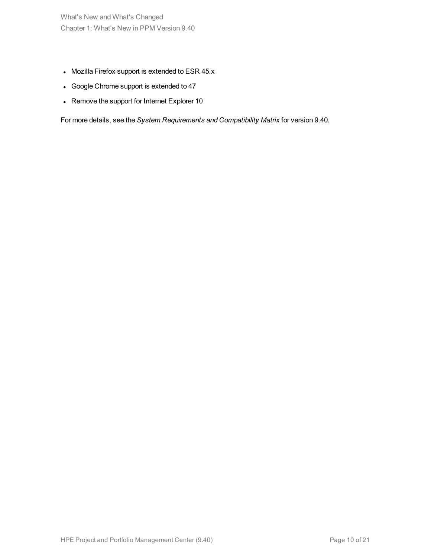What's New and What's Changed Chapter 1: What's New in PPM Version 9.40

- Mozilla Firefox support is extended to ESR  $45.x$
- Google Chrome support is extended to 47
- Remove the support for Internet Explorer 10

For more details, see the *System Requirements and Compatibility Matrix* for version 9.40.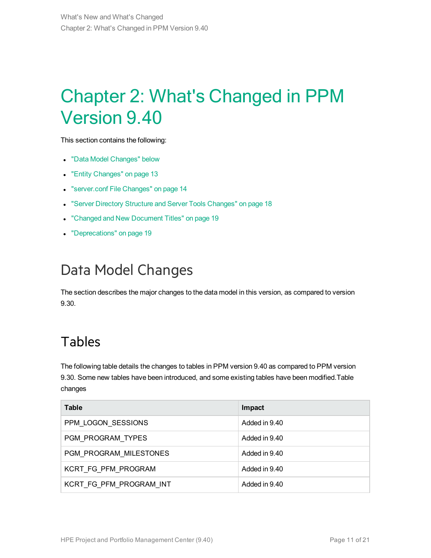# <span id="page-10-0"></span>Chapter 2: What's Changed in PPM Version 9.40

This section contains the following:

- "Data Model [Changes"](#page-10-1) below
- "Entity [Changes"](#page-12-0) on page 13
- **.** ["server.conf](#page-13-1) File Changes" on page 14
- **.** "Server Directory Structure and Server Tools [Changes"](#page-17-0) on page 18
- "Changed and New [Document](#page-18-0) Titles" on page 19
- ["Deprecations"](#page-18-1) on page 19

## <span id="page-10-1"></span>Data Model Changes

<span id="page-10-2"></span>The section describes the major changes to the data model in this version, as compared to version 9.30.

### Tables

The following table details the changes to tables in PPM version 9.40 as compared to PPM version 9.30. Some new tables have been introduced, and some existing tables have been modified.Table changes

| <b>Table</b>            | Impact        |
|-------------------------|---------------|
| PPM LOGON SESSIONS      | Added in 9.40 |
| PGM PROGRAM TYPES       | Added in 9.40 |
| PGM PROGRAM MILESTONES  | Added in 9.40 |
| KCRT FG PFM PROGRAM     | Added in 9.40 |
| KCRT FG PFM PROGRAM INT | Added in 9.40 |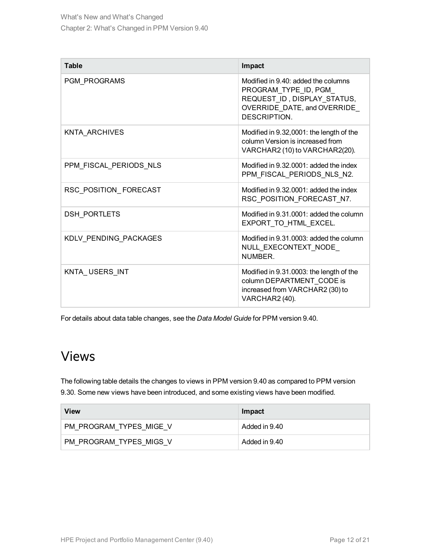| <b>Table</b>           | Impact                                                                                                                                    |
|------------------------|-------------------------------------------------------------------------------------------------------------------------------------------|
| <b>PGM PROGRAMS</b>    | Modified in 9.40: added the columns<br>PROGRAM TYPE ID, PGM<br>REQUEST ID, DISPLAY STATUS,<br>OVERRIDE DATE, and OVERRIDE<br>DESCRIPTION. |
| KNTA ARCHIVES          | Modified in 9.32,0001: the length of the<br>column Version is increased from<br>VARCHAR2 (10) to VARCHAR2(20).                            |
| PPM FISCAL PERIODS NLS | Modified in 9.32,0001; added the index<br>PPM FISCAL PERIODS NLS N2.                                                                      |
| RSC_POSITION_FORECAST  | Modified in 9.32.0001: added the index<br>RSC_POSITION_FORECAST_N7.                                                                       |
| <b>DSH PORTLETS</b>    | Modified in 9.31,0001; added the column<br>EXPORT TO HTML EXCEL.                                                                          |
| KDLV_PENDING_PACKAGES  | Modified in 9.31.0003: added the column<br>NULL_EXECONTEXT_NODE_<br>NUMBER                                                                |
| KNTA USERS INT         | Modified in 9.31.0003: the length of the<br>column DEPARTMENT CODE is<br>increased from VARCHAR2 (30) to<br>VARCHAR2 (40).                |

<span id="page-11-0"></span>For details about data table changes, see the *Data Model Guide* for PPM version 9.40.

### Views

The following table details the changes to views in PPM version 9.40 as compared to PPM version 9.30. Some new views have been introduced, and some existing views have been modified.

| View                    | Impact        |
|-------------------------|---------------|
| PM PROGRAM TYPES MIGE V | Added in 9.40 |
| PM PROGRAM TYPES MIGS V | Added in 9.40 |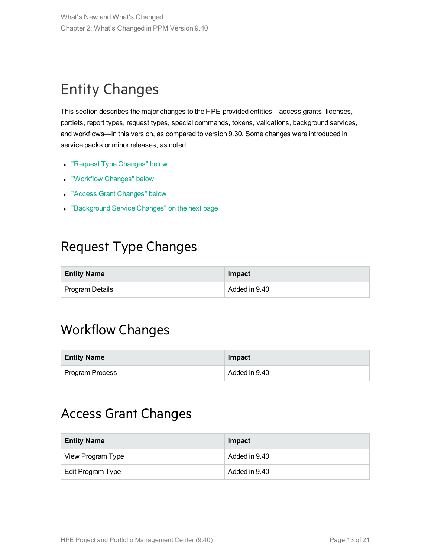# <span id="page-12-0"></span>Entity Changes

This section describes the major changes to the HPE-provided entities—access grants, licenses, portlets, report types, request types, special commands, tokens, validations, background services, and workflows—in this version, as compared to version 9.30. Some changes were introduced in service packs or minor releases, as noted.

- "Request Type [Changes"](#page-12-1) below
- ["Workflow](#page-12-2) Changes" below
- "Access Grant [Changes"](#page-12-3) below
- <span id="page-12-1"></span>• ["Background](#page-13-0) Service Changes" on the next page

## Request Type Changes

| <b>Entity Name</b> | Impact        |
|--------------------|---------------|
| Program Details    | Added in 9.40 |

## <span id="page-12-2"></span>Workflow Changes

| <b>Entity Name</b>     | Impact        |
|------------------------|---------------|
| <b>Program Process</b> | Added in 9.40 |

### <span id="page-12-3"></span>Access Grant Changes

| <b>Entity Name</b> | Impact        |
|--------------------|---------------|
| View Program Type  | Added in 9.40 |
| Edit Program Type  | Added in 9.40 |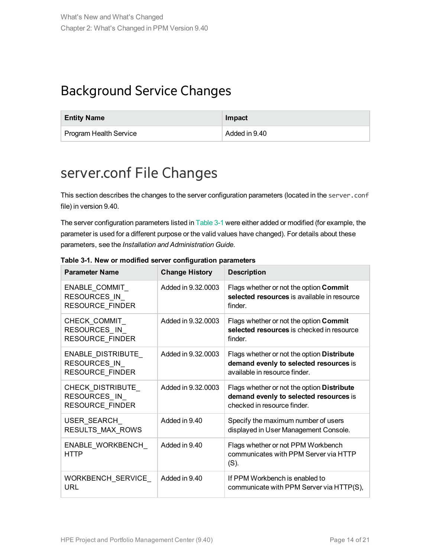## <span id="page-13-0"></span>Background Service Changes

| <b>Entity Name</b>            | Impact        |
|-------------------------------|---------------|
| <b>Program Health Service</b> | Added in 9.40 |

## <span id="page-13-1"></span>server.conf File Changes

This section describes the changes to the server configuration parameters (located in the server.conf file) in version 9.40.

The server configuration parameters listed in [Table](#page-13-2) 3-1 were either added or modified (for example, the parameter is used for a different purpose or the valid values have changed). For details about these parameters, see the *Installation and Administration Guide*.

| <b>Parameter Name</b>                                       | <b>Change History</b> | <b>Description</b>                                                                                                    |
|-------------------------------------------------------------|-----------------------|-----------------------------------------------------------------------------------------------------------------------|
| ENABLE_COMMIT_<br>RESOURCES IN<br>RESOURCE_FINDER           | Added in 9.32,0003    | Flags whether or not the option Commit<br>selected resources is available in resource<br>finder.                      |
| CHECK COMMIT<br>RESOURCES_IN_<br><b>RESOURCE FINDER</b>     | Added in 9.32,0003    | Flags whether or not the option Commit<br>selected resources is checked in resource<br>finder.                        |
| ENABLE_DISTRIBUTE<br>RESOURCES IN<br><b>RESOURCE FINDER</b> | Added in 9.32,0003    | Flags whether or not the option Distribute<br>demand evenly to selected resources is<br>available in resource finder. |
| CHECK_DISTRIBUTE_<br>RESOURCES IN<br>RESOURCE_FINDER        | Added in 9.32,0003    | Flags whether or not the option Distribute<br>demand evenly to selected resources is<br>checked in resource finder.   |
| USER SEARCH<br>RESULTS_MAX_ROWS                             | Added in 9.40         | Specify the maximum number of users<br>displayed in User Management Console.                                          |
| ENABLE WORKBENCH<br><b>HTTP</b>                             | Added in 9.40         | Flags whether or not PPM Workbench<br>communicates with PPM Server via HTTP<br>$(S)$ .                                |
| WORKBENCH_SERVICE_<br>URL                                   | Added in 9.40         | If PPM Workbench is enabled to<br>communicate with PPM Server via HTTP(S),                                            |

<span id="page-13-2"></span>**Table 3-1. New or modified server configuration parameters**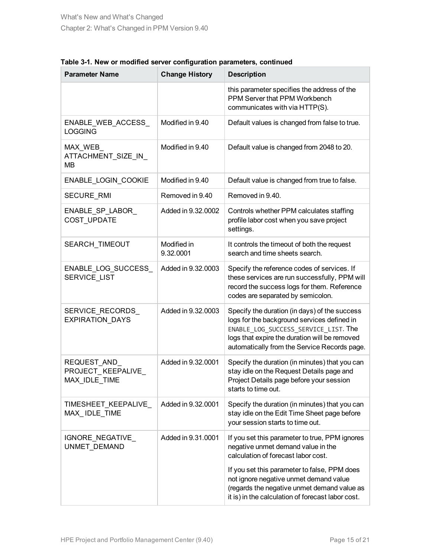| <b>Parameter Name</b>                               | <b>Change History</b>    | <b>Description</b>                                                                                                                                                                                                                    |
|-----------------------------------------------------|--------------------------|---------------------------------------------------------------------------------------------------------------------------------------------------------------------------------------------------------------------------------------|
|                                                     |                          | this parameter specifies the address of the<br>PPM Server that PPM Workbench<br>communicates with via HTTP(S).                                                                                                                        |
| ENABLE_WEB_ACCESS_<br><b>LOGGING</b>                | Modified in 9.40         | Default values is changed from false to true.                                                                                                                                                                                         |
| MAX_WEB_<br>ATTACHMENT SIZE IN<br>MВ                | Modified in 9.40         | Default value is changed from 2048 to 20.                                                                                                                                                                                             |
| ENABLE_LOGIN_COOKIE                                 | Modified in 9.40         | Default value is changed from true to false.                                                                                                                                                                                          |
| <b>SECURE RMI</b>                                   | Removed in 9.40          | Removed in 9.40.                                                                                                                                                                                                                      |
| ENABLE_SP_LABOR_<br>COST_UPDATE                     | Added in 9.32,0002       | Controls whether PPM calculates staffing<br>profile labor cost when you save project<br>settings.                                                                                                                                     |
| SEARCH_TIMEOUT                                      | Modified in<br>9.32.0001 | It controls the timeout of both the request<br>search and time sheets search.                                                                                                                                                         |
| ENABLE_LOG_SUCCESS_<br><b>SERVICE LIST</b>          | Added in 9.32.0003       | Specify the reference codes of services. If<br>these services are run successfully, PPM will<br>record the success logs for them. Reference<br>codes are separated by semicolon.                                                      |
| SERVICE_RECORDS_<br>EXPIRATION_DAYS                 | Added in 9.32.0003       | Specify the duration (in days) of the success<br>logs for the background services defined in<br>ENABLE LOG SUCCESS SERVICE LIST. The<br>logs that expire the duration will be removed<br>automatically from the Service Records page. |
| REQUEST_AND_<br>PROJECT_KEEPALIVE_<br>MAX IDLE TIME | Added in 9.32,0001       | Specify the duration (in minutes) that you can<br>stay idle on the Request Details page and<br>Project Details page before your session<br>starts to time out.                                                                        |
| TIMESHEET_KEEPALIVE_<br>MAX_IDLE_TIME               | Added in 9.32.0001       | Specify the duration (in minutes) that you can<br>stay idle on the Edit Time Sheet page before<br>your session starts to time out.                                                                                                    |
| IGNORE_NEGATIVE_<br>UNMET_DEMAND                    | Added in 9.31,0001       | If you set this parameter to true, PPM ignores<br>negative unmet demand value in the<br>calculation of forecast labor cost.                                                                                                           |
|                                                     |                          | If you set this parameter to false, PPM does<br>not ignore negative unmet demand value<br>(regards the negative unmet demand value as<br>it is) in the calculation of forecast labor cost.                                            |

| Table 3-1. New or modified server configuration parameters, continued |  |  |  |
|-----------------------------------------------------------------------|--|--|--|
|-----------------------------------------------------------------------|--|--|--|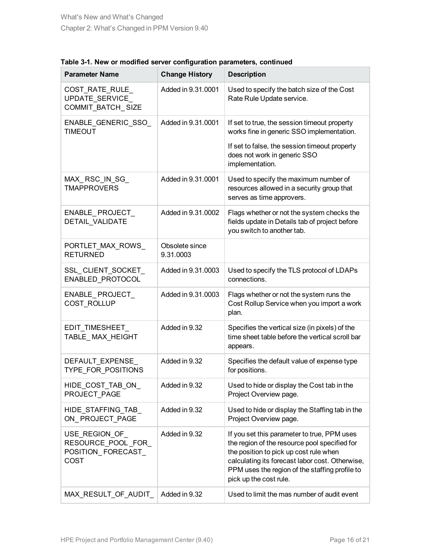| <b>Parameter Name</b>                                              | <b>Change History</b>       | <b>Description</b>                                                                                                                                                                                                                                                    |
|--------------------------------------------------------------------|-----------------------------|-----------------------------------------------------------------------------------------------------------------------------------------------------------------------------------------------------------------------------------------------------------------------|
| COST_RATE_RULE_<br>UPDATE SERVICE<br>COMMIT_BATCH_SIZE             | Added in 9.31,0001          | Used to specify the batch size of the Cost<br>Rate Rule Update service.                                                                                                                                                                                               |
| ENABLE_GENERIC_SSO_<br><b>TIMEOUT</b>                              | Added in 9.31.0001          | If set to true, the session timeout property<br>works fine in generic SSO implementation.                                                                                                                                                                             |
|                                                                    |                             | If set to false, the session timeout property<br>does not work in generic SSO<br>implementation.                                                                                                                                                                      |
| MAX_RSC_IN_SG_<br><b>TMAPPROVERS</b>                               | Added in 9.31.0001          | Used to specify the maximum number of<br>resources allowed in a security group that<br>serves as time approvers.                                                                                                                                                      |
| ENABLE_PROJECT_<br>DETAIL_VALIDATE                                 | Added in 9.31.0002          | Flags whether or not the system checks the<br>fields update in Details tab of project before<br>you switch to another tab.                                                                                                                                            |
| PORTLET_MAX_ROWS_<br><b>RETURNED</b>                               | Obsolete since<br>9.31.0003 |                                                                                                                                                                                                                                                                       |
| SSL CLIENT SOCKET<br>ENABLED_PROTOCOL                              | Added in 9.31.0003          | Used to specify the TLS protocol of LDAPs<br>connections.                                                                                                                                                                                                             |
| ENABLE_PROJECT_<br>COST_ROLLUP                                     | Added in 9.31.0003          | Flags whether or not the system runs the<br>Cost Rollup Service when you import a work<br>plan.                                                                                                                                                                       |
| EDIT_TIMESHEET_<br>TABLE_MAX_HEIGHT                                | Added in 9.32               | Specifies the vertical size (in pixels) of the<br>time sheet table before the vertical scroll bar<br>appears.                                                                                                                                                         |
| DEFAULT EXPENSE<br>TYPE_FOR_POSITIONS                              | Added in 9.32               | Specifies the default value of expense type<br>for positions.                                                                                                                                                                                                         |
| HIDE_COST_TAB_ON_<br>PROJECT PAGE                                  | Added in 9.32               | Used to hide or display the Cost tab in the<br>Project Overview page.                                                                                                                                                                                                 |
| HIDE STAFFING TAB<br>ON PROJECT PAGE                               | Added in 9.32               | Used to hide or display the Staffing tab in the<br>Project Overview page.                                                                                                                                                                                             |
| USE_REGION_OF_<br>RESOURCE_POOL_FOR_<br>POSITION_FORECAST_<br>COST | Added in 9.32               | If you set this parameter to true, PPM uses<br>the region of the resource pool specified for<br>the position to pick up cost rule when<br>calculating its forecast labor cost. Otherwise,<br>PPM uses the region of the staffing profile to<br>pick up the cost rule. |
| MAX_RESULT_OF_AUDIT_                                               | Added in 9.32               | Used to limit the mas number of audit event                                                                                                                                                                                                                           |

**Table 3-1. New or modified server configuration parameters, continued**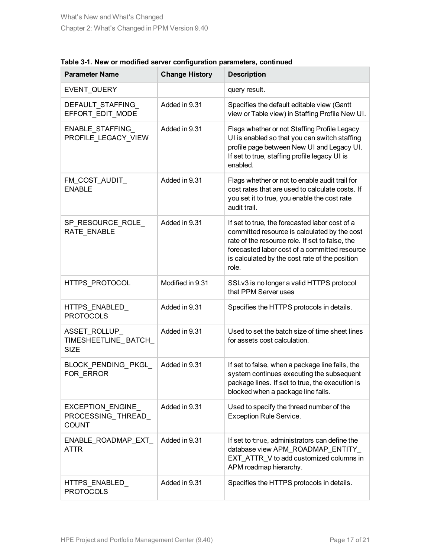| <b>Parameter Name</b>                                  | <b>Change History</b> | <b>Description</b>                                                                                                                                                                                                                                            |
|--------------------------------------------------------|-----------------------|---------------------------------------------------------------------------------------------------------------------------------------------------------------------------------------------------------------------------------------------------------------|
| EVENT QUERY                                            |                       | query result.                                                                                                                                                                                                                                                 |
| DEFAULT STAFFING<br>EFFORT EDIT MODE                   | Added in 9.31         | Specifies the default editable view (Gantt<br>view or Table view) in Staffing Profile New UI.                                                                                                                                                                 |
| ENABLE_STAFFING<br>PROFILE_LEGACY_VIEW                 | Added in 9.31         | Flags whether or not Staffing Profile Legacy<br>UI is enabled so that you can switch staffing<br>profile page between New UI and Legacy UI.<br>If set to true, staffing profile legacy UI is<br>enabled.                                                      |
| FM_COST_AUDIT_<br><b>ENABLE</b>                        | Added in 9.31         | Flags whether or not to enable audit trail for<br>cost rates that are used to calculate costs. If<br>you set it to true, you enable the cost rate<br>audit trail.                                                                                             |
| SP_RESOURCE_ROLE_<br>RATE ENABLE                       | Added in 9.31         | If set to true, the forecasted labor cost of a<br>committed resource is calculated by the cost<br>rate of the resource role. If set to false, the<br>forecasted labor cost of a committed resource<br>is calculated by the cost rate of the position<br>role. |
| HTTPS_PROTOCOL                                         | Modified in 9.31      | SSLv3 is no longer a valid HTTPS protocol<br>that PPM Server uses                                                                                                                                                                                             |
| HTTPS_ENABLED_<br><b>PROTOCOLS</b>                     | Added in 9.31         | Specifies the HTTPS protocols in details.                                                                                                                                                                                                                     |
| ASSET_ROLLUP_<br>TIMESHEETLINE_BATCH_<br><b>SIZE</b>   | Added in 9.31         | Used to set the batch size of time sheet lines<br>for assets cost calculation.                                                                                                                                                                                |
| BLOCK_PENDING_PKGL_<br>FOR ERROR                       | Added in 9.31         | If set to false, when a package line fails, the<br>system continues executing the subsequent<br>package lines. If set to true, the execution is<br>blocked when a package line fails.                                                                         |
| EXCEPTION_ENGINE<br>PROCESSING_THREAD_<br><b>COUNT</b> | Added in 9.31         | Used to specify the thread number of the<br><b>Exception Rule Service.</b>                                                                                                                                                                                    |
| ENABLE_ROADMAP_EXT_<br>ATTR                            | Added in 9.31         | If set to true, administrators can define the<br>database view APM_ROADMAP_ENTITY_<br>EXT_ATTR_V to add customized columns in<br>APM roadmap hierarchy.                                                                                                       |
| HTTPS_ENABLED_<br><b>PROTOCOLS</b>                     | Added in 9.31         | Specifies the HTTPS protocols in details.                                                                                                                                                                                                                     |

#### **Table 3-1. New or modified server configuration parameters, continued**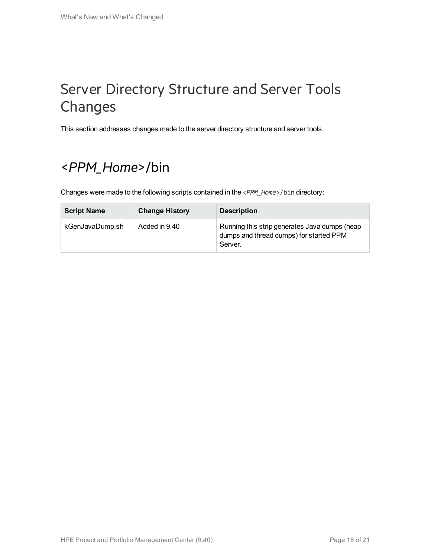## <span id="page-17-0"></span>Server Directory Structure and Server Tools Changes

<span id="page-17-1"></span>This section addresses changes made to the server directory structure and server tools.

## <*PPM\_Home*>/bin

Changes were made to the following scripts contained in the <*PPM\_Home*>/bin directory:

| <b>Script Name</b> | <b>Change History</b> | <b>Description</b>                                                                                  |
|--------------------|-----------------------|-----------------------------------------------------------------------------------------------------|
| kGenJavaDump.sh    | Added in 9.40         | Running this strip generates Java dumps (heap<br>dumps and thread dumps) for started PPM<br>Server. |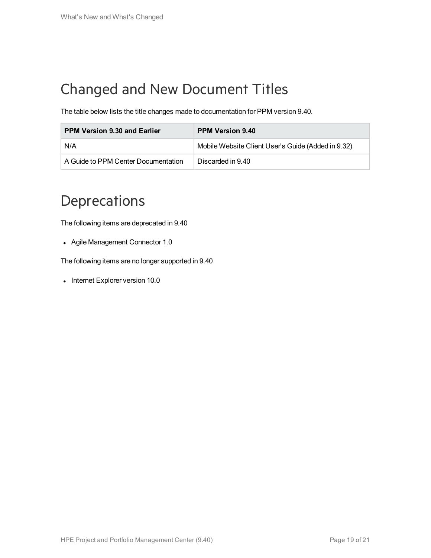# <span id="page-18-0"></span>Changed and New Document Titles

The table below lists the title changes made to documentation for PPM version 9.40.

| <b>PPM Version 9.30 and Earlier</b> | <b>PPM Version 9.40</b>                            |
|-------------------------------------|----------------------------------------------------|
| N/A                                 | Mobile Website Client User's Guide (Added in 9.32) |
| A Guide to PPM Center Documentation | Discarded in 9.40                                  |

## <span id="page-18-1"></span>**Deprecations**

The following items are deprecated in 9.40

• Agile Management Connector 1.0

The following items are no longer supported in 9.40

• Internet Explorer version 10.0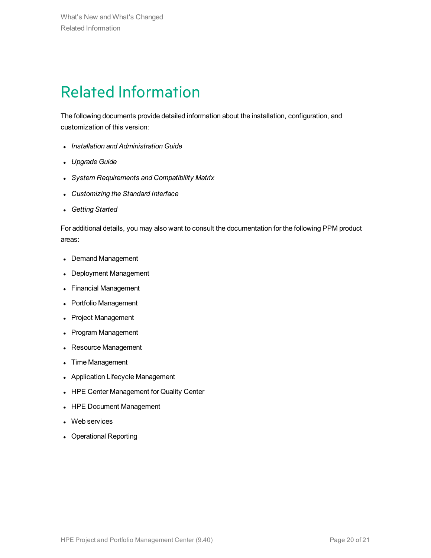# <span id="page-19-0"></span>Related Information

The following documents provide detailed information about the installation, configuration, and customization of this version:

- <sup>l</sup> *Installation and Administration Guide*
- <sup>l</sup> *Upgrade Guide*
- <sup>l</sup> *System Requirements and Compatibility Matrix*
- <sup>l</sup> *Customizing the Standard Interface*
- <sup>l</sup> *Getting Started*

For additional details, you may also want to consult the documentation for the following PPM product areas:

- Demand Management
- Deployment Management
- Financial Management
- Portfolio Management
- Project Management
- Program Management
- Resource Management
- Time Management
- Application Lifecycle Management
- HPE Center Management for Quality Center
- HPE Document Management
- Web services
- Operational Reporting